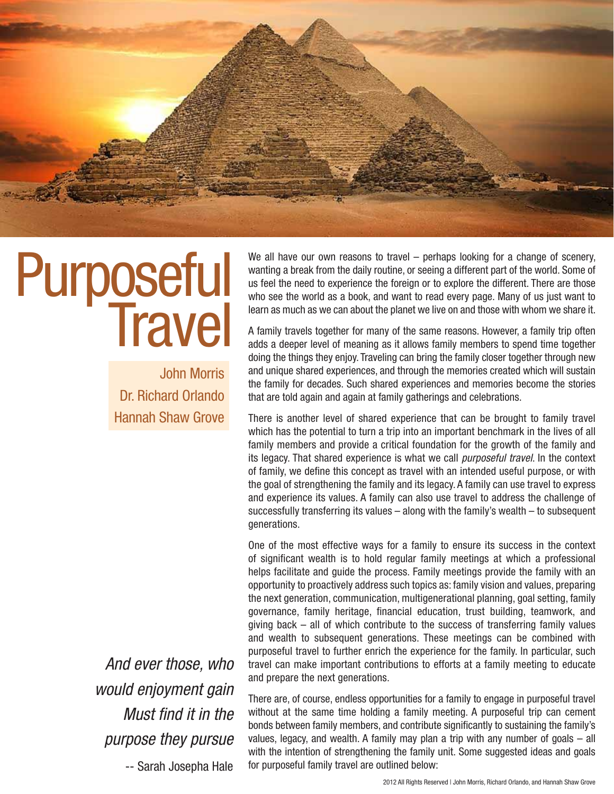

# Purposeful<br>Travel

John Morris Dr. Richard Orlando Hannah Shaw Grove

We all have our own reasons to travel – perhaps looking for a change of scenery, wanting a break from the daily routine, or seeing a different part of the world. Some of us feel the need to experience the foreign or to explore the different. There are those who see the world as a book, and want to read every page. Many of us just want to learn as much as we can about the planet we live on and those with whom we share it.

A family travels together for many of the same reasons. However, a family trip often adds a deeper level of meaning as it allows family members to spend time together doing the things they enjoy. Traveling can bring the family closer together through new and unique shared experiences, and through the memories created which will sustain the family for decades. Such shared experiences and memories become the stories that are told again and again at family gatherings and celebrations.

There is another level of shared experience that can be brought to family travel which has the potential to turn a trip into an important benchmark in the lives of all family members and provide a critical foundation for the growth of the family and its legacy. That shared experience is what we call *purposeful travel*. In the context of family, we define this concept as travel with an intended useful purpose, or with the goal of strengthening the family and its legacy. A family can use travel to express and experience its values. A family can also use travel to address the challenge of successfully transferring its values – along with the family's wealth – to subsequent generations.

One of the most effective ways for a family to ensure its success in the context of significant wealth is to hold regular family meetings at which a professional helps facilitate and guide the process. Family meetings provide the family with an opportunity to proactively address such topics as: family vision and values, preparing the next generation, communication, multigenerational planning, goal setting, family governance, family heritage, financial education, trust building, teamwork, and giving back – all of which contribute to the success of transferring family values and wealth to subsequent generations. These meetings can be combined with purposeful travel to further enrich the experience for the family. In particular, such travel can make important contributions to efforts at a family meeting to educate and prepare the next generations.

*And ever those, who would enjoyment gain Must find it in the purpose they pursue*

-- Sarah Josepha Hale

There are, of course, endless opportunities for a family to engage in purposeful travel without at the same time holding a family meeting. A purposeful trip can cement bonds between family members, and contribute significantly to sustaining the family's values, legacy, and wealth. A family may plan a trip with any number of goals – all with the intention of strengthening the family unit. Some suggested ideas and goals for purposeful family travel are outlined below: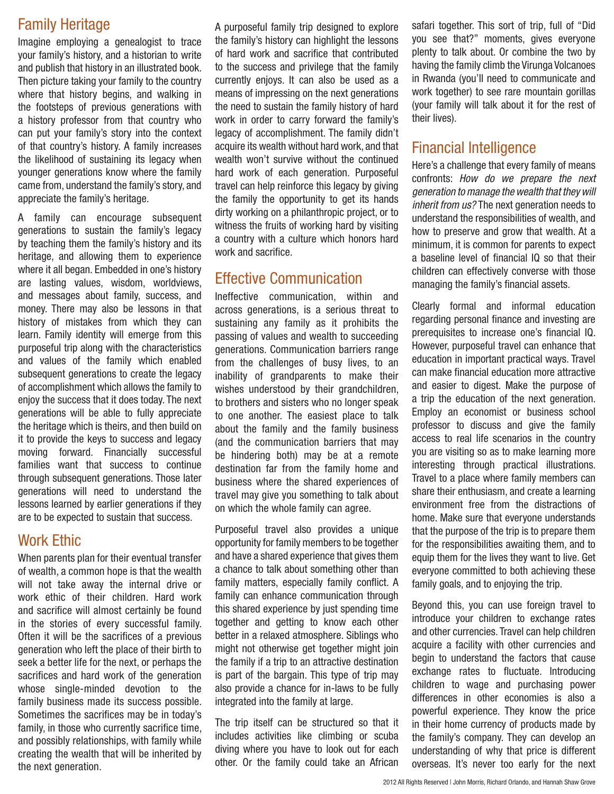# Family Heritage

Imagine employing a genealogist to trace your family's history, and a historian to write and publish that history in an illustrated book. Then picture taking your family to the country where that history begins, and walking in the footsteps of previous generations with a history professor from that country who can put your family's story into the context of that country's history. A family increases the likelihood of sustaining its legacy when younger generations know where the family came from, understand the family's story, and appreciate the family's heritage.

A family can encourage subsequent generations to sustain the family's legacy by teaching them the family's history and its heritage, and allowing them to experience where it all began. Embedded in one's history are lasting values, wisdom, worldviews, and messages about family, success, and money. There may also be lessons in that history of mistakes from which they can learn. Family identity will emerge from this purposeful trip along with the characteristics and values of the family which enabled subsequent generations to create the legacy of accomplishment which allows the family to enjoy the success that it does today. The next generations will be able to fully appreciate the heritage which is theirs, and then build on it to provide the keys to success and legacy moving forward. Financially successful families want that success to continue through subsequent generations. Those later generations will need to understand the lessons learned by earlier generations if they are to be expected to sustain that success.

## Work Ethic

When parents plan for their eventual transfer of wealth, a common hope is that the wealth will not take away the internal drive or work ethic of their children. Hard work and sacrifice will almost certainly be found in the stories of every successful family. Often it will be the sacrifices of a previous generation who left the place of their birth to seek a better life for the next, or perhaps the sacrifices and hard work of the generation whose single-minded devotion to the family business made its success possible. Sometimes the sacrifices may be in today's family, in those who currently sacrifice time, and possibly relationships, with family while creating the wealth that will be inherited by the next generation.

A purposeful family trip designed to explore the family's history can highlight the lessons of hard work and sacrifice that contributed to the success and privilege that the family currently enjoys. It can also be used as a means of impressing on the next generations the need to sustain the family history of hard work in order to carry forward the family's legacy of accomplishment. The family didn't acquire its wealth without hard work, and that wealth won't survive without the continued hard work of each generation. Purposeful travel can help reinforce this legacy by giving the family the opportunity to get its hands dirty working on a philanthropic project, or to witness the fruits of working hard by visiting a country with a culture which honors hard work and sacrifice.

## Effective Communication

Ineffective communication, within and across generations, is a serious threat to sustaining any family as it prohibits the passing of values and wealth to succeeding generations. Communication barriers range from the challenges of busy lives, to an inability of grandparents to make their wishes understood by their grandchildren, to brothers and sisters who no longer speak to one another. The easiest place to talk about the family and the family business (and the communication barriers that may be hindering both) may be at a remote destination far from the family home and business where the shared experiences of travel may give you something to talk about on which the whole family can agree.

Purposeful travel also provides a unique opportunity for family members to be together and have a shared experience that gives them a chance to talk about something other than family matters, especially family conflict. A family can enhance communication through this shared experience by just spending time together and getting to know each other better in a relaxed atmosphere. Siblings who might not otherwise get together might join the family if a trip to an attractive destination is part of the bargain. This type of trip may also provide a chance for in-laws to be fully integrated into the family at large.

The trip itself can be structured so that it includes activities like climbing or scuba diving where you have to look out for each other. Or the family could take an African safari together. This sort of trip, full of "Did you see that?" moments, gives everyone plenty to talk about. Or combine the two by having the family climb the Virunga Volcanoes in Rwanda (you'll need to communicate and work together) to see rare mountain gorillas (your family will talk about it for the rest of their lives).

## Financial Intelligence

Here's a challenge that every family of means confronts: *How do we prepare the next generation to manage the wealth that they will inherit from us?* The next generation needs to understand the responsibilities of wealth, and how to preserve and grow that wealth. At a minimum, it is common for parents to expect a baseline level of financial IQ so that their children can effectively converse with those managing the family's financial assets.

Clearly formal and informal education regarding personal finance and investing are prerequisites to increase one's financial IQ. However, purposeful travel can enhance that education in important practical ways. Travel can make financial education more attractive and easier to digest. Make the purpose of a trip the education of the next generation. Employ an economist or business school professor to discuss and give the family access to real life scenarios in the country you are visiting so as to make learning more interesting through practical illustrations. Travel to a place where family members can share their enthusiasm, and create a learning environment free from the distractions of home. Make sure that everyone understands that the purpose of the trip is to prepare them for the responsibilities awaiting them, and to equip them for the lives they want to live. Get everyone committed to both achieving these family goals, and to enjoying the trip.

Beyond this, you can use foreign travel to introduce your children to exchange rates and other currencies. Travel can help children acquire a facility with other currencies and begin to understand the factors that cause exchange rates to fluctuate. Introducing children to wage and purchasing power differences in other economies is also a powerful experience. They know the price in their home currency of products made by the family's company. They can develop an understanding of why that price is different overseas. It's never too early for the next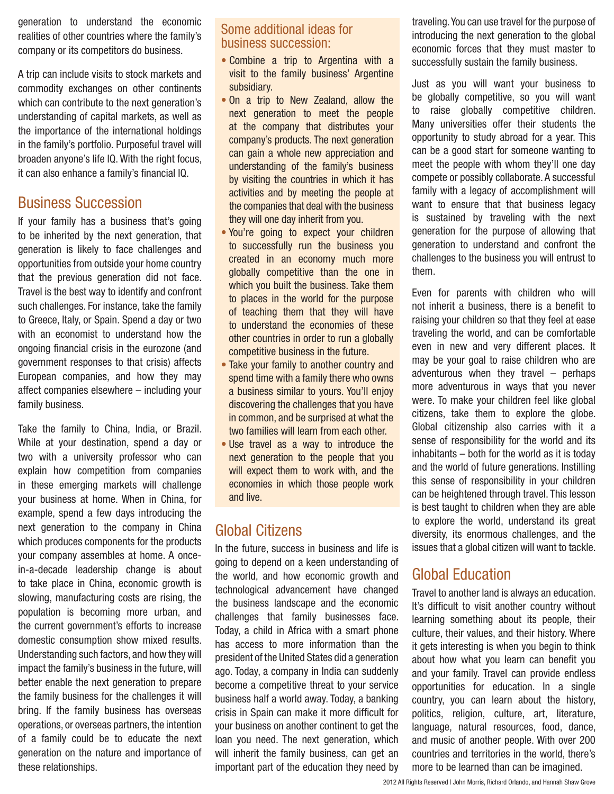generation to understand the economic realities of other countries where the family's company or its competitors do business.

A trip can include visits to stock markets and commodity exchanges on other continents which can contribute to the next generation's understanding of capital markets, as well as the importance of the international holdings in the family's portfolio. Purposeful travel will broaden anyone's life IQ. With the right focus, it can also enhance a family's financial IQ.

### Business Succession

If your family has a business that's going to be inherited by the next generation, that generation is likely to face challenges and opportunities from outside your home country that the previous generation did not face. Travel is the best way to identify and confront such challenges. For instance, take the family to Greece, Italy, or Spain. Spend a day or two with an economist to understand how the ongoing financial crisis in the eurozone (and government responses to that crisis) affects European companies, and how they may affect companies elsewhere – including your family business.

Take the family to China, India, or Brazil. While at your destination, spend a day or two with a university professor who can explain how competition from companies in these emerging markets will challenge your business at home. When in China, for example, spend a few days introducing the next generation to the company in China which produces components for the products your company assembles at home. A oncein-a-decade leadership change is about to take place in China, economic growth is slowing, manufacturing costs are rising, the population is becoming more urban, and the current government's efforts to increase domestic consumption show mixed results. Understanding such factors, and how they will impact the family's business in the future, will better enable the next generation to prepare the family business for the challenges it will bring. If the family business has overseas operations, or overseas partners, the intention of a family could be to educate the next generation on the nature and importance of these relationships.

#### Some additional ideas for business succession:

- Combine a trip to Argentina with a visit to the family business' Argentine subsidiary.
- On a trip to New Zealand, allow the next generation to meet the people at the company that distributes your company's products. The next generation can gain a whole new appreciation and understanding of the family's business by visiting the countries in which it has activities and by meeting the people at the companies that deal with the business they will one day inherit from you.
- You're going to expect your children to successfully run the business you created in an economy much more globally competitive than the one in which you built the business. Take them to places in the world for the purpose of teaching them that they will have to understand the economies of these other countries in order to run a globally competitive business in the future.
- Take your family to another country and spend time with a family there who owns a business similar to yours. You'll enjoy discovering the challenges that you have in common, and be surprised at what the two families will learn from each other.
- Use travel as a way to introduce the next generation to the people that you will expect them to work with, and the economies in which those people work and live.

## Global Citizens

In the future, success in business and life is going to depend on a keen understanding of the world, and how economic growth and technological advancement have changed the business landscape and the economic challenges that family businesses face. Today, a child in Africa with a smart phone has access to more information than the president of the United States did a generation ago. Today, a company in India can suddenly become a competitive threat to your service business half a world away. Today, a banking crisis in Spain can make it more difficult for your business on another continent to get the loan you need. The next generation, which will inherit the family business, can get an important part of the education they need by traveling. You can use travel for the purpose of introducing the next generation to the global economic forces that they must master to successfully sustain the family business.

Just as you will want your business to be globally competitive, so you will want to raise globally competitive children. Many universities offer their students the opportunity to study abroad for a year. This can be a good start for someone wanting to meet the people with whom they'll one day compete or possibly collaborate. A successful family with a legacy of accomplishment will want to ensure that that business legacy is sustained by traveling with the next generation for the purpose of allowing that generation to understand and confront the challenges to the business you will entrust to them.

Even for parents with children who will not inherit a business, there is a benefit to raising your children so that they feel at ease traveling the world, and can be comfortable even in new and very different places. It may be your goal to raise children who are adventurous when they travel – perhaps more adventurous in ways that you never were. To make your children feel like global citizens, take them to explore the globe. Global citizenship also carries with it a sense of responsibility for the world and its inhabitants – both for the world as it is today and the world of future generations. Instilling this sense of responsibility in your children can be heightened through travel. This lesson is best taught to children when they are able to explore the world, understand its great diversity, its enormous challenges, and the issues that a global citizen will want to tackle.

## Global Education

Travel to another land is always an education. It's difficult to visit another country without learning something about its people, their culture, their values, and their history. Where it gets interesting is when you begin to think about how what you learn can benefit you and your family. Travel can provide endless opportunities for education. In a single country, you can learn about the history, politics, religion, culture, art, literature, language, natural resources, food, dance, and music of another people. With over 200 countries and territories in the world, there's more to be learned than can be imagined.